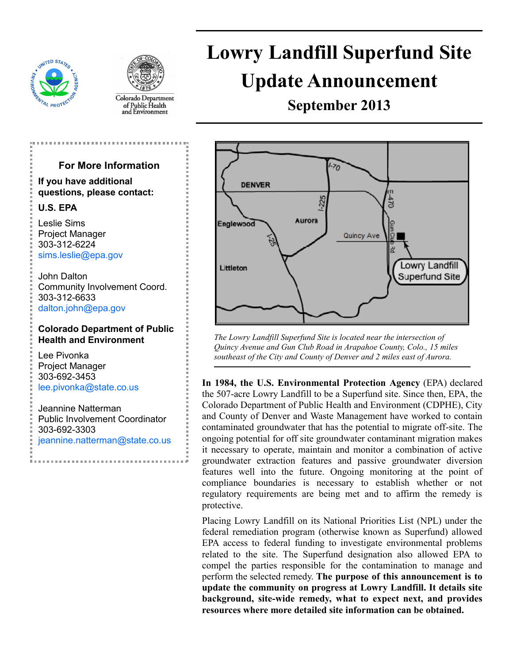



Colorado Department of Public Health<br>and Environment

# **Lowry Landfill Superfund Site Update Announcement**

**September 2013** 



*The Lowry Landfill Superfund Site is located near the intersection of Quincy Avenue and Gun Club Road in Arapahoe County, Colo., 15 miles southeast of the City and County of Denver and 2 miles east of Aurora.* 

**In 1984, the U.S. Environmental Protection Agency** (EPA) declared the 507-acre Lowry Landfill to be a Superfund site. Since then, EPA, the Colorado Department of Public Health and Environment (CDPHE), City and County of Denver and Waste Management have worked to contain contaminated groundwater that has the potential to migrate off-site. The ongoing potential for off site groundwater contaminant migration makes it necessary to operate, maintain and monitor a combination of active groundwater extraction features and passive groundwater diversion features well into the future. Ongoing monitoring at the point of compliance boundaries is necessary to establish whether or not regulatory requirements are being met and to affirm the remedy is protective.

Placing Lowry Landfill on its National Priorities List (NPL) under the federal remediation program (otherwise known as Superfund) allowed EPA access to federal funding to investigate environmental problems related to the site. The Superfund designation also allowed EPA to compel the parties responsible for the contamination to manage and perform the selected remedy. **The purpose of this announcement is to update the community on progress at Lowry Landfill. It details site background, site-wide remedy, what to expect next, and provides resources where more detailed site information can be obtained.** 

### **For More Information**

**If you have additional questions, please contact:** 

#### **U.S. EPA**

Leslie Sims Project Manager 303-312-6224 [sims.leslie@epa.gov](mailto:sims.leslie@epa.gov)

John Dalton Community Involvement Coord. 303-312-6633 [dalton.john@epa.gov](mailto:dalton.john@epa.gov)

#### **Colorado Department of Public Health and Environment**

Lee Pivonka Project Manager 303-692-3453 [lee.pivonka@state.co.us](mailto:lee.pivonka@state.co.us)

Jeannine Natterman Public Involvement Coordinator 303-692-3303 [jeannine.natterman@state.co.us](mailto:jeannine.natterman@state.co.us)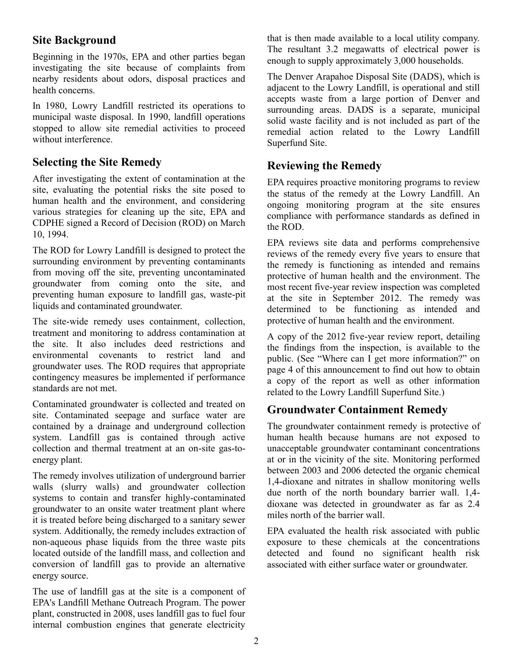# **Site Background**

Beginning in the 1970s, EPA and other parties began investigating the site because of complaints from nearby residents about odors, disposal practices and health concerns.

In 1980, Lowry Landfill restricted its operations to municipal waste disposal. In 1990, landfill operations stopped to allow site remedial activities to proceed without interference.

## **Selecting the Site Remedy**

After investigating the extent of contamination at the site, evaluating the potential risks the site posed to human health and the environment, and considering various strategies for cleaning up the site, EPA and CDPHE signed a Record of Decision (ROD) on March 10, 1994.

The ROD for Lowry Landfill is designed to protect the surrounding environment by preventing contaminants from moving off the site, preventing uncontaminated groundwater from coming onto the site, and preventing human exposure to landfill gas, waste-pit liquids and contaminated groundwater.

The site-wide remedy uses containment, collection, treatment and monitoring to address contamination at the site. It also includes deed restrictions and environmental covenants to restrict land and groundwater uses. The ROD requires that appropriate contingency measures be implemented if performance standards are not met.

Contaminated groundwater is collected and treated on site. Contaminated seepage and surface water are contained by a drainage and underground collection system. Landfill gas is contained through active collection and thermal treatment at an on-site gas-toenergy plant.

The remedy involves utilization of underground barrier walls (slurry walls) and groundwater collection systems to contain and transfer highly-contaminated groundwater to an onsite water treatment plant where it is treated before being discharged to a sanitary sewer system. Additionally, the remedy includes extraction of non-aqueous phase liquids from the three waste pits located outside of the landfill mass, and collection and conversion of landfill gas to provide an alternative energy source.

The use of landfill gas at the site is a component of EPA's Landfill Methane Outreach Program. The power plant, constructed in 2008, uses landfill gas to fuel four internal combustion engines that generate electricity

that is then made available to a local utility company. The resultant 3.2 megawatts of electrical power is enough to supply approximately 3,000 households.

The Denver Arapahoe Disposal Site (DADS), which is adjacent to the Lowry Landfill, is operational and still accepts waste from a large portion of Denver and surrounding areas. DADS is a separate, municipal solid waste facility and is not included as part of the remedial action related to the Lowry Landfill Superfund Site.

# **Reviewing the Remedy**

EPA requires proactive monitoring programs to review the status of the remedy at the Lowry Landfill. An ongoing monitoring program at the site ensures compliance with performance standards as defined in the ROD.

EPA reviews site data and performs comprehensive reviews of the remedy every five years to ensure that the remedy is functioning as intended and remains protective of human health and the environment. The most recent five-year review inspection was completed at the site in September 2012. The remedy was determined to be functioning as intended and protective of human health and the environment.

A copy of the 2012 five-year review report, detailing the findings from the inspection, is available to the public. (See "Where can I get more information?" on page 4 of this announcement to find out how to obtain a copy of the report as well as other information related to the Lowry Landfill Superfund Site.)

## **Groundwater Containment Remedy**

The groundwater containment remedy is protective of human health because humans are not exposed to unacceptable groundwater contaminant concentrations at or in the vicinity of the site. Monitoring performed between 2003 and 2006 detected the organic chemical 1,4-dioxane and nitrates in shallow monitoring wells due north of the north boundary barrier wall. 1,4 dioxane was detected in groundwater as far as 2.4 miles north of the barrier wall.

EPA evaluated the health risk associated with public exposure to these chemicals at the concentrations detected and found no significant health risk associated with either surface water or groundwater.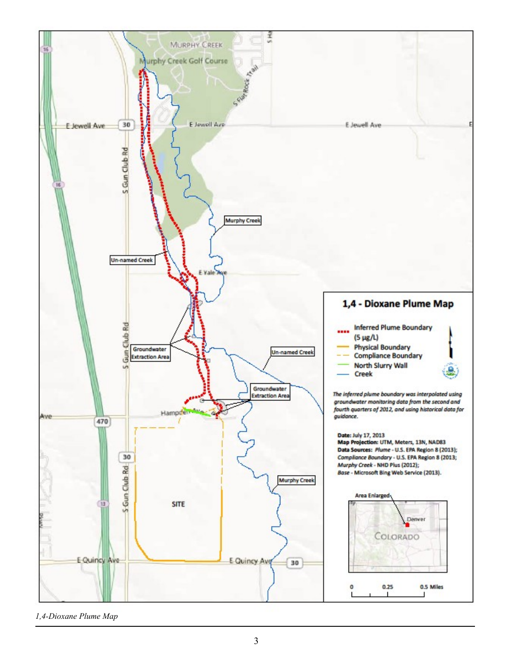

*1,4-Dioxane Plume Map*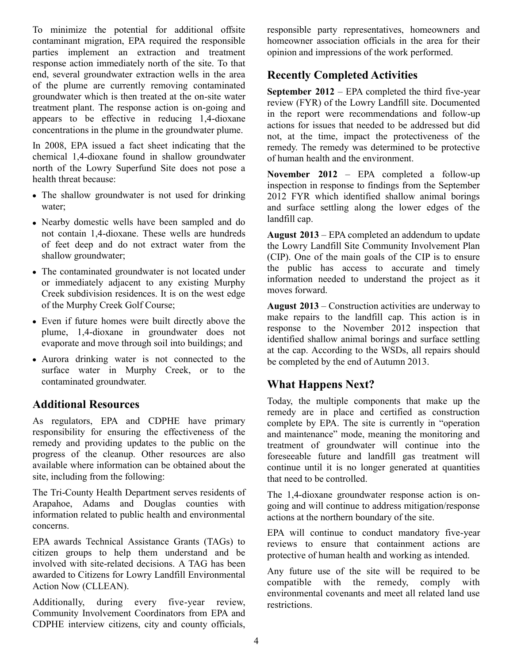To minimize the potential for additional offsite contaminant migration, EPA required the responsible parties implement an extraction and treatment response action immediately north of the site. To that end, several groundwater extraction wells in the area of the plume are currently removing contaminated groundwater which is then treated at the on-site water treatment plant. The response action is on-going and appears to be effective in reducing 1,4-dioxane concentrations in the plume in the groundwater plume.

In 2008, EPA issued a fact sheet indicating that the chemical 1,4-dioxane found in shallow groundwater north of the Lowry Superfund Site does not pose a health threat because:

- The shallow groundwater is not used for drinking water;
- Nearby domestic wells have been sampled and do not contain 1,4-dioxane. These wells are hundreds of feet deep and do not extract water from the shallow groundwater;
- The contaminated groundwater is not located under or immediately adjacent to any existing Murphy Creek subdivision residences. It is on the west edge of the Murphy Creek Golf Course;
- Even if future homes were built directly above the plume, 1,4-dioxane in groundwater does not evaporate and move through soil into buildings; and
- Aurora drinking water is not connected to the surface water in Murphy Creek, or to the contaminated groundwater.

#### **Additional Resources**

As regulators, EPA and CDPHE have primary responsibility for ensuring the effectiveness of the remedy and providing updates to the public on the progress of the cleanup. Other resources are also available where information can be obtained about the site, including from the following:

The Tri-County Health Department serves residents of Arapahoe, Adams and Douglas counties with information related to public health and environmental concerns.

EPA awards Technical Assistance Grants (TAGs) to citizen groups to help them understand and be involved with site-related decisions. A TAG has been awarded to Citizens for Lowry Landfill Environmental Action Now (CLLEAN).

Additionally, during every five-year review, Community Involvement Coordinators from EPA and CDPHE interview citizens, city and county officials,

responsible party representatives, homeowners and homeowner association officials in the area for their opinion and impressions of the work performed.

# **Recently Completed Activities**

**September 2012** – EPA completed the third five-year review (FYR) of the Lowry Landfill site. Documented in the report were recommendations and follow-up actions for issues that needed to be addressed but did not, at the time, impact the protectiveness of the remedy. The remedy was determined to be protective of human health and the environment.

**November 2012** – EPA completed a follow-up inspection in response to findings from the September 2012 FYR which identified shallow animal borings and surface settling along the lower edges of the landfill cap.

**August 2013** – EPA completed an addendum to update the Lowry Landfill Site Community Involvement Plan (CIP). One of the main goals of the CIP is to ensure the public has access to accurate and timely information needed to understand the project as it moves forward.

**August 2013** – Construction activities are underway to make repairs to the landfill cap. This action is in response to the November 2012 inspection that identified shallow animal borings and surface settling at the cap. According to the WSDs, all repairs should be completed by the end of Autumn 2013.

## **What Happens Next?**

Today, the multiple components that make up the remedy are in place and certified as construction complete by EPA. The site is currently in "operation and maintenance" mode, meaning the monitoring and treatment of groundwater will continue into the foreseeable future and landfill gas treatment will continue until it is no longer generated at quantities that need to be controlled.

The 1,4-dioxane groundwater response action is ongoing and will continue to address mitigation/response actions at the northern boundary of the site.

EPA will continue to conduct mandatory five-year reviews to ensure that containment actions are protective of human health and working as intended.

Any future use of the site will be required to be compatible with the remedy, comply with environmental covenants and meet all related land use restrictions.